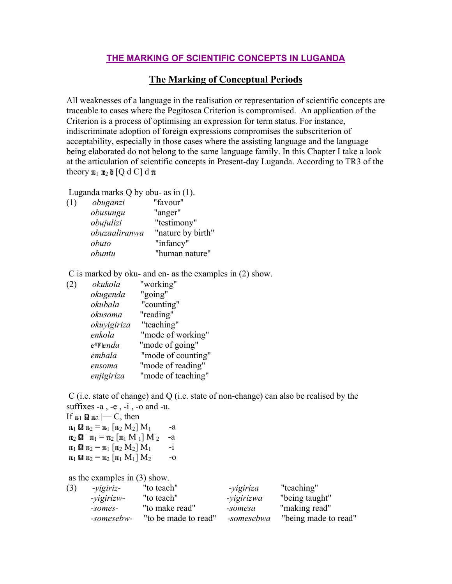## **THE MARKING OF SCIENTIFIC CONCEPTS IN LUGANDA**

## **The Marking of Conceptual Periods**

All weaknesses of a language in the realisation or representation of scientific concepts are traceable to cases where the Pegitosca Criterion is compromised. An application of the Criterion is a process of optimising an expression for term status. For instance, indiscriminate adoption of foreign expressions compromises the subscriterion of acceptability, especially in those cases where the assisting language and the language being elaborated do not belong to the same language family. In this Chapter I take a look at the articulation of scientific concepts in Present-day Luganda. According to TR3 of the theory  $\pi_1$   $\pi_2$   $\delta$  [Q d C] d  $\pi$ 

Luganda marks Q by obu- as in (1).

| (1) | obuganzi      | "favour"          |
|-----|---------------|-------------------|
|     | obusungu      | "anger"           |
|     | obujulizi     | "testimony"       |
|     | obuzaaliranwa | "nature by birth" |
|     | obuto         | "infancy"         |
|     | obuntu        | "human nature"    |
|     |               |                   |

C is marked by oku- and en- as the examples in (2) show.

| okukola                | "working"          |
|------------------------|--------------------|
| okugenda               | "going"            |
| okubala                | "counting"         |
| okusoma                | "reading"          |
| okuvigiriza            | "teaching"         |
| enkola                 | "mode of working"  |
| $e^{\mathsf{m}}$ lenda | "mode of going"    |
| embala                 | "mode of counting" |
| ensoma                 | "mode of reading"  |
| enjigiriza             | "mode of teaching" |
|                        |                    |

 C (i.e. state of change) and Q (i.e. state of non-change) can also be realised by the suffixes  $-a$ ,  $-e$ ,  $-i$ ,  $-o$  and  $-u$ .

If  $\mathfrak{n}_1 \mathbf{\Omega} \mathfrak{n}_2 \longleftarrow C$ , then  $n_1$  **12**  $n_2 = n_1$  [  $n_2$   $M_2$ ]  $M_1$  -a  $_2$   $\Omega$   $\mathfrak{m}_1 = \mathfrak{m}_2$   $\left[\mathfrak{m}_1 \mathrel{\mathsf{M}}_1\right]$   $\mathrel{\mathsf{M}}$ 2 -a  $\mathfrak{n}_1 \mathbf{\Omega} \mathfrak{n}_2 = \mathfrak{n}_1 [\mathfrak{n}_2 M_2] M_1$  -i  $\mathbf{1}_{1}$   $\mathbf{1}_{2} = \mathbf{1}_{2} [\mathbf{1}_{1} \mathbf{M}_{1}] \mathbf{M}_{2}$  -o

as the examples in (3) show.

| (3) | - <i>vigiriz</i> - | "to teach"           | -yigiriza  | "teaching"           |
|-----|--------------------|----------------------|------------|----------------------|
|     | -vigirizw-         | "to teach"           | -yigirizwa | "being taught"       |
|     | -somes-            | "to make read"       | -somesa    | "making read"        |
|     | -somesebw-         | "to be made to read" | -somesebwa | "being made to read" |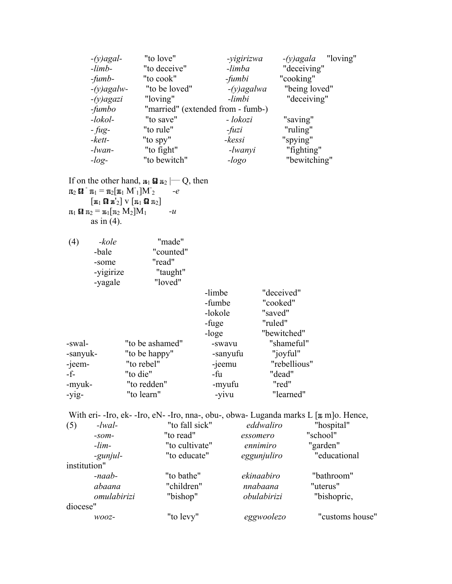| $-limb-$<br>$-fumb-$<br>$-(y)$ agalw-           | "to deceive"<br>"to cook"<br>"to be loved"                                             | -yigirizwa<br>-limba<br>$-fumbi$                                                                                                                                                                                                                                                                      | "deceiving"<br>"cooking"                                                                                              |
|-------------------------------------------------|----------------------------------------------------------------------------------------|-------------------------------------------------------------------------------------------------------------------------------------------------------------------------------------------------------------------------------------------------------------------------------------------------------|-----------------------------------------------------------------------------------------------------------------------|
|                                                 |                                                                                        |                                                                                                                                                                                                                                                                                                       |                                                                                                                       |
|                                                 |                                                                                        |                                                                                                                                                                                                                                                                                                       |                                                                                                                       |
|                                                 |                                                                                        | $-(y)$ agalwa                                                                                                                                                                                                                                                                                         | "being loved"                                                                                                         |
| $-(y)$ agazi                                    | "loving"                                                                               | -limbi                                                                                                                                                                                                                                                                                                | "deceiving"                                                                                                           |
|                                                 |                                                                                        |                                                                                                                                                                                                                                                                                                       |                                                                                                                       |
|                                                 | "to save"                                                                              | - lokozi                                                                                                                                                                                                                                                                                              | "saving"                                                                                                              |
|                                                 | "to rule"                                                                              | $-fuzi$                                                                                                                                                                                                                                                                                               | "ruling"                                                                                                              |
|                                                 | "to spy"                                                                               | -kessi                                                                                                                                                                                                                                                                                                | "spying"                                                                                                              |
|                                                 | "to fight"                                                                             | -lwanyi                                                                                                                                                                                                                                                                                               | "fighting"                                                                                                            |
|                                                 | "to bewitch"                                                                           | $-logo$                                                                                                                                                                                                                                                                                               | "bewitching"                                                                                                          |
|                                                 | $-e$<br>$-u$                                                                           |                                                                                                                                                                                                                                                                                                       |                                                                                                                       |
| -kole<br>-bale<br>-some<br>-yigirize<br>-yagale | "made"<br>"counted"<br>"read"<br>"taught"<br>"loved"                                   |                                                                                                                                                                                                                                                                                                       | "deceived"                                                                                                            |
|                                                 | -fumbo<br>$-$ lokol $-$<br>$-fug-$<br>$-kett-$<br>$-lwan-$<br>$-log-$<br>as in $(4)$ . | $\pi_2$ <b>si</b> $\pi_1 = \pi_2[\pi_1 M_1]M_2$<br>$\lceil \mathfrak{n}_1 \mathbf{\Omega} \mathfrak{n}'_2 \rceil$ $\vee$ $\lceil \mathfrak{n}_1 \mathbf{\Omega} \mathfrak{n}_2 \rceil$<br>$\mathfrak{m}_1 \mathbf{\Omega} \mathfrak{m}_2 = \mathfrak{m}_1 \mathfrak{m}_2 \mathbf{M}_2 \mathfrak{M}_1$ | "married" (extended from - fumb-)<br>If on the other hand, $\mathbf{u}_1 \mathbf{u}_2 \rightarrow Q$ , then<br>-limbe |

|          |                 | -limbe   | aeceived:"   |
|----------|-----------------|----------|--------------|
|          |                 | -fumbe   | "cooked"     |
|          |                 | -lokole  | "saved"      |
|          |                 | -fuge    | "ruled"      |
|          |                 | -loge    | "bewitched"  |
| -swal-   | "to be ashamed" | -swavu   | "shameful"   |
| -sanyuk- | "to be happy"   | -sanyufu | "joyful"     |
| -jeem-   | "to rebel"      | -jeemu   | "rebellious" |
| -f-      | "to die"        | -fu      | "dead"       |
| -myuk-   | "to redden"     | -myufu   | "red"        |
| -yig-    | "to learn"      | -yivu    | "learned"    |

|              |             | With eri-Iro, ek-Iro, eN-Iro, nna-, obu-, obwa-Luganda marks L $\lceil \mathfrak{n} \bmod$ Hence, |             |                 |
|--------------|-------------|---------------------------------------------------------------------------------------------------|-------------|-----------------|
| (5)          | $-lwal-$    | "to fall sick"                                                                                    | eddwaliro   | "hospital"      |
|              | $-50m-$     | "to read"                                                                                         | essomero    | "school"        |
|              | $-lim-$     | "to cultivate"                                                                                    | ennimiro    | "garden"        |
|              | -gunjul-    | "to educate"                                                                                      | eggunjuliro | "educational    |
| institution" |             |                                                                                                   |             |                 |
|              | $-naab$ -   | "to bathe"                                                                                        | ekinaabiro  | "bathroom"      |
|              | abaana      | "children"                                                                                        | nnabaana    | "uterus"        |
|              | omulabirizi | "bishop"                                                                                          | obulabirizi | "bishopric,     |
| diocese"     |             |                                                                                                   |             |                 |
|              | $WOOZ-$     | "to levy"                                                                                         | eggwoolezo  | "customs house" |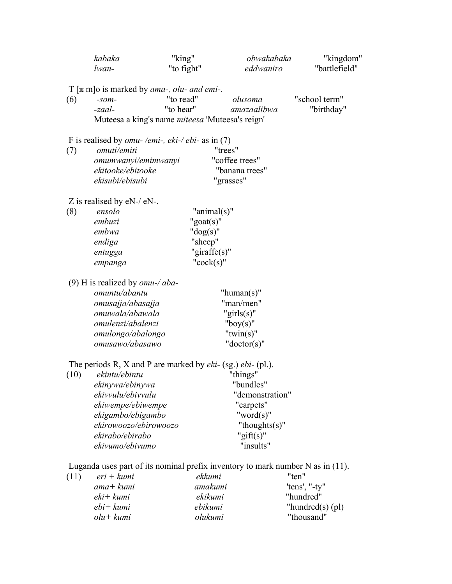|      | kabaka                                                                           | "king"                 | obwakabaka                  | "kingdom"           |
|------|----------------------------------------------------------------------------------|------------------------|-----------------------------|---------------------|
|      | lwan-                                                                            | "to fight"             | eddwaniro                   | "battlefield"       |
|      |                                                                                  |                        |                             |                     |
| (6)  | $T[\pi m]$ is marked by <i>ama-</i> , <i>olu- and emi-</i> .<br>$-som-$          | "to read"              | olusoma                     | "school term"       |
|      | -zaal-                                                                           | "to hear"              | amazaalibwa                 | "birthday"          |
|      | Muteesa a king's name <i>miteesa</i> 'Muteesa's reign'                           |                        |                             |                     |
|      |                                                                                  |                        |                             |                     |
|      | F is realised by <i>omu-/emi-, eki-/ebi-</i> as in (7)                           |                        |                             |                     |
| (7)  | omuti/emiti                                                                      |                        | "trees"                     |                     |
|      | omumwanyi/emimwanyi                                                              |                        | "coffee trees"              |                     |
|      | ekitooke/ebitooke                                                                |                        | "banana trees"              |                     |
|      | ekisubi/ebisubi                                                                  |                        | "grasses"                   |                     |
|      | Z is realised by $eN$ -/ $eN$ -.                                                 |                        |                             |                     |
| (8)  | ensolo                                                                           | " $\text{animal}(s)$ " |                             |                     |
|      | embuzi                                                                           | " $g$ oat $(s)$ "      |                             |                     |
|      | embwa                                                                            | " $dog(s)$ "           |                             |                     |
|      | endiga                                                                           | "sheep"                |                             |                     |
|      | entugga                                                                          | "giraffe $(s)$ "       |                             |                     |
|      | empanga                                                                          | " $cock(s)$ "          |                             |                     |
|      |                                                                                  |                        |                             |                     |
|      | (9) H is realized by $omu-\alpha ba -$<br>omuntu/abantu                          |                        |                             |                     |
|      |                                                                                  |                        | "human $(s)$ "<br>"man/men" |                     |
|      | omusajja/abasajja<br>omuwala/abawala                                             |                        | "girls $(s)$ "              |                     |
|      | omulenzi/abalenzi                                                                |                        | "boy $(s)$ "                |                     |
|      | omulongo/abalongo                                                                |                        | " $twin(s)$ "               |                     |
|      | omusawo/abasawo                                                                  |                        | " $doctor(s)$ "             |                     |
|      |                                                                                  |                        |                             |                     |
|      | The periods R, X and P are marked by $eki-$ (sg.) $ebi-$ (pl.).                  |                        |                             |                     |
| (10) | ekintu/ebintu                                                                    |                        | "things"                    |                     |
|      | ekinywa/ebinywa                                                                  |                        | "bundles"                   |                     |
|      | ekivvulu/ebivvulu                                                                |                        | "demonstration"             |                     |
|      | ekiwempe/ebiwempe                                                                |                        | "carpets"                   |                     |
|      | ekigambo/ebigambo                                                                |                        | "word $(s)$ "               |                     |
|      | ekirowoozo/ebirowoozo                                                            |                        | "thoughts $(s)$ "           |                     |
|      | ekirabo/ebirabo                                                                  |                        | "gift $(s)$ "               |                     |
|      | ekivumo/ebivumo                                                                  |                        | "insults"                   |                     |
|      | Luganda uses part of its nominal prefix inventory to mark number $N$ as in (11). |                        |                             |                     |
| (11) | $eri + kumi$                                                                     | ekkumi                 |                             | "ten"               |
|      | ama+ kumi                                                                        | amakumi                |                             | 'tens', "-ty"       |
|      | $eki$ + kumi                                                                     | ekikumi                |                             | "hundred"           |
|      | $ebi+ kumi$                                                                      | ebikumi                |                             | "hundred $(s)$ (pl) |

*olu+ kumi olukumi* "thousand"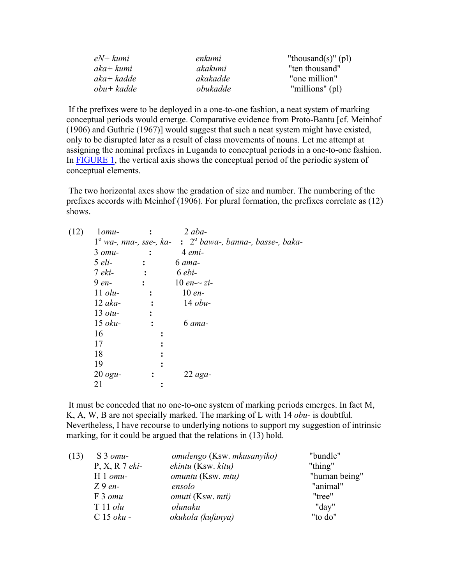| $eN+kumi$   | enkumi   | "thousand(s)" $\text{(pl)}$ |
|-------------|----------|-----------------------------|
| $aka+ kumi$ | akakumi  | "ten thousand"              |
| $aka+kadde$ | akakadde | "one million"               |
| $obu+kadde$ | obukadde | "millions" (pl)             |

 If the prefixes were to be deployed in a one-to-one fashion, a neat system of marking conceptual periods would emerge. Comparative evidence from Proto-Bantu [cf. Meinhof (1906) and Guthrie (1967)] would suggest that such a neat system might have existed, only to be disrupted later as a result of class movements of nouns. Let me attempt at assigning the nominal prefixes in Luganda to conceptual periods in a one-to-one fashion. In FIGURE 1, the vertical axis shows the conceptual period of the periodic system of conceptual elements.

 The two horizontal axes show the gradation of size and number. The numbering of the prefixes accords with Meinhof (1906). For plural formation, the prefixes correlate as (12) shows.

| (12) | $1$ <i>omu</i> -  |                | $2$ aba-                                                                    |
|------|-------------------|----------------|-----------------------------------------------------------------------------|
|      |                   |                | $1^{\circ}$ wa-, nna-, sse-, ka- : $2^{\circ}$ bawa-, banna-, basse-, baka- |
|      | $3$ omu-          |                | 4 emi-                                                                      |
|      | $5$ eli-          |                | 6 ama-                                                                      |
|      | $7 eki-$          |                | $6 ebi-$                                                                    |
|      | 9 en-             | $\ddot{\cdot}$ | 10 en $\sim$ zi-                                                            |
|      | $11$ <i>olu</i> - | $\ddot{\cdot}$ | $10 en-$                                                                    |
|      | $12\ aka-$        |                | $14$ obu-                                                                   |
|      | $13$ otu-         | ፡              |                                                                             |
|      | $15$ oku-         |                | 6 ama-                                                                      |
|      | 16                |                |                                                                             |
|      | 17                |                |                                                                             |
|      | 18                |                |                                                                             |
|      | 19                |                |                                                                             |
|      | $20$ ogu-         |                | $22$ aga-                                                                   |
|      | 21                |                |                                                                             |

 It must be conceded that no one-to-one system of marking periods emerges. In fact M, K, A, W, B are not specially marked. The marking of L with 14 *obu-* is doubtful. Nevertheless, I have recourse to underlying notions to support my suggestion of intrinsic marking, for it could be argued that the relations in (13) hold.

| $S3$ omu-        | omulengo (Ksw. mkusanyiko)       | "bundle"      |
|------------------|----------------------------------|---------------|
| $P, X, R$ 7 eki- | ekintu (Ksw. kitu)               | "thing"       |
| $H1$ omu-        | <i>omuntu</i> (Ksw. <i>mtu</i> ) | "human being" |
| $Z9 en-$         | ensolo                           | "animal"      |
| F 3 omu          | <i>omuti</i> (Ksw. <i>mti</i> )  | "tree"        |
| $T11$ olu        | olunaku                          | "day"         |
| $C 15 oku -$     | okukola (kufanya)                | "to do"       |
|                  |                                  |               |